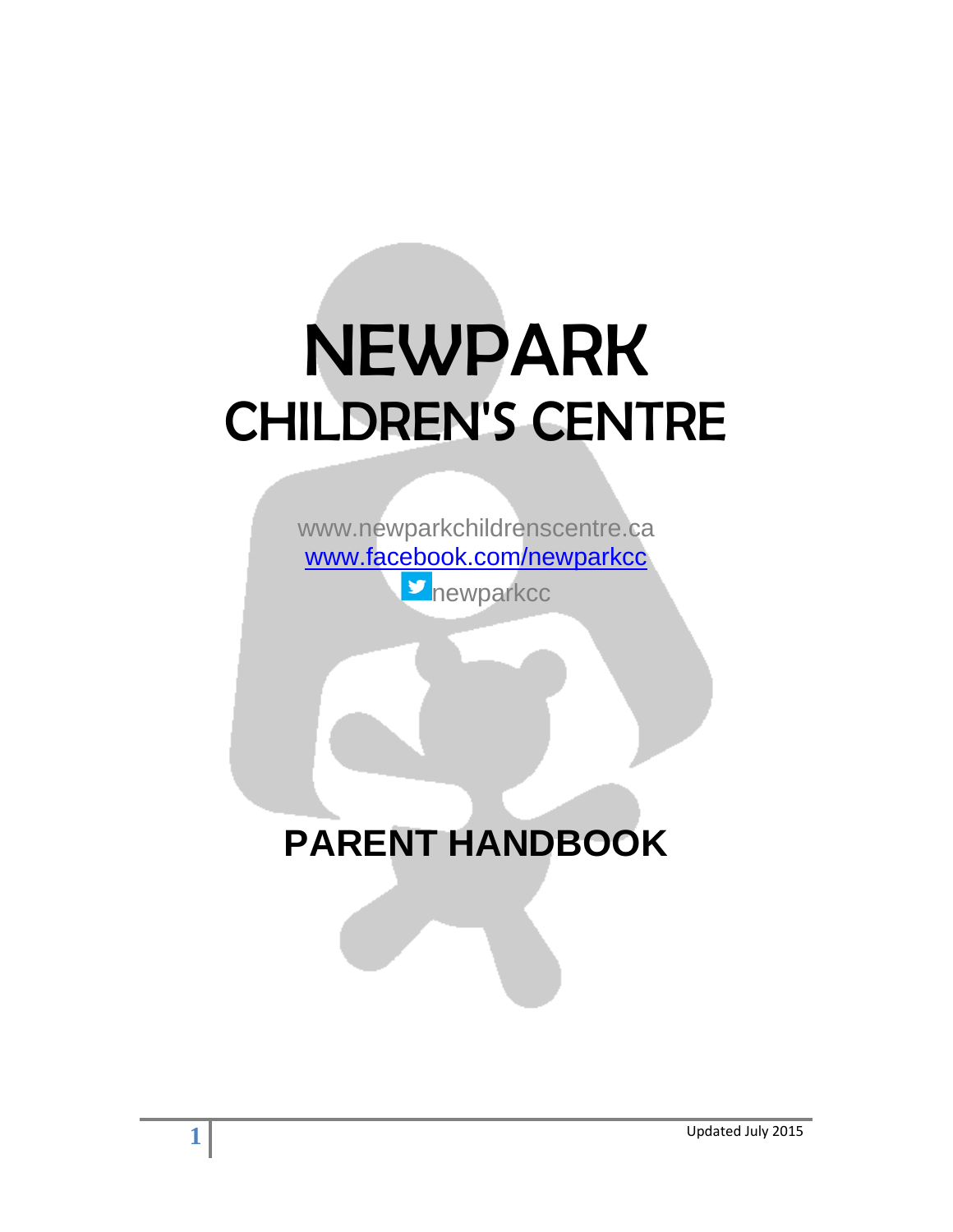# NEWPARK CHILDREN'S CENTRE

www.newparkchildrenscentre.ca www.facebook.com/newparkcc

**D**newparkcc

## **PARENT HANDBOOK**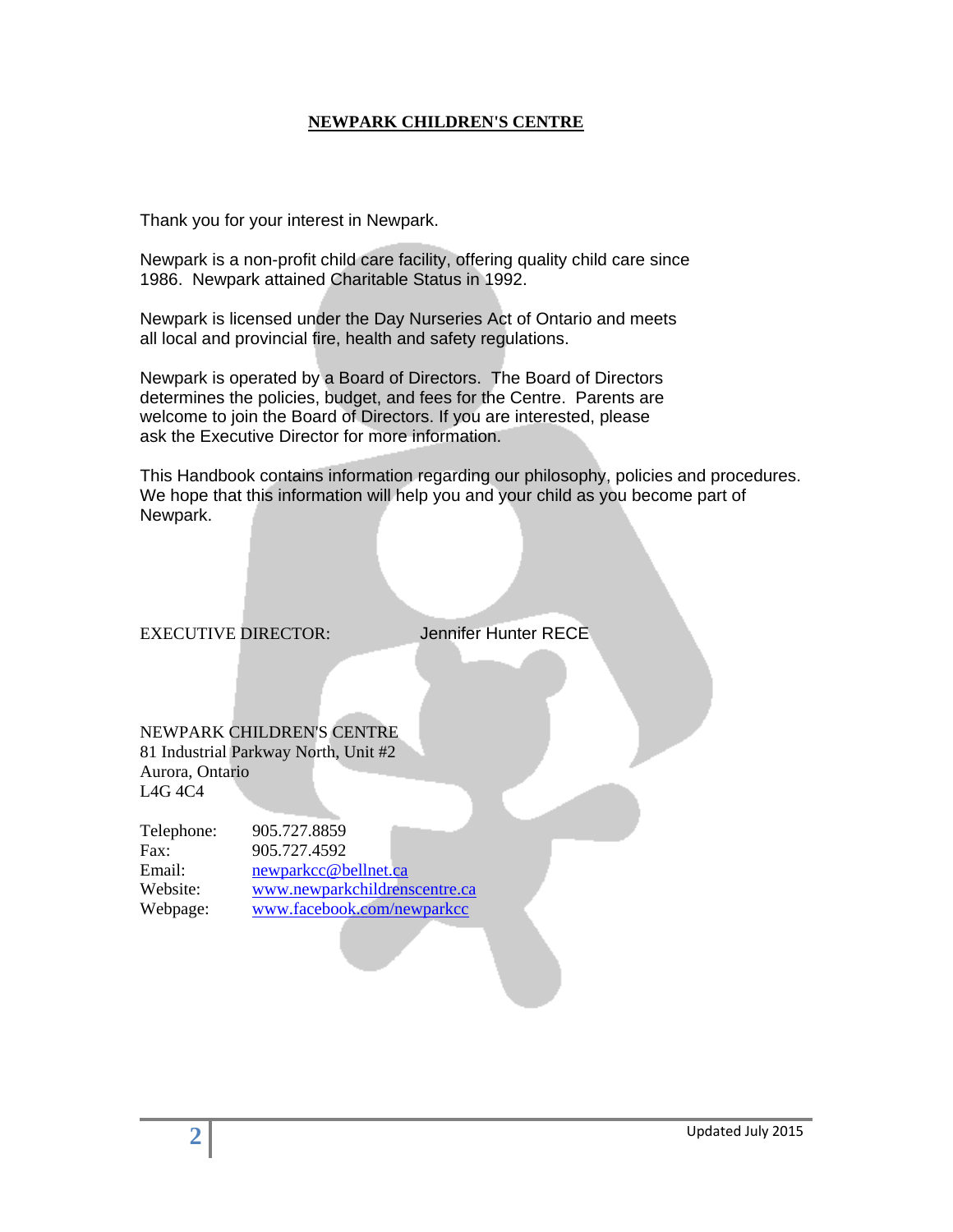## **NEWPARK CHILDREN'S CENTRE**

Thank you for your interest in Newpark.

Newpark is a non-profit child care facility, offering quality child care since 1986. Newpark attained Charitable Status in 1992.

Newpark is licensed under the Day Nurseries Act of Ontario and meets all local and provincial fire, health and safety regulations.

Newpark is operated by a Board of Directors. The Board of Directors determines the policies, budget, and fees for the Centre. Parents are welcome to join the Board of Directors. If you are interested, please ask the Executive Director for more information.

This Handbook contains information regarding our philosophy, policies and procedures. We hope that this information will help you and your child as you become part of Newpark.

#### EXECUTIVE DIRECTOR: Jennifer Hunter RECE

NEWPARK CHILDREN'S CENTRE 81 Industrial Parkway North, Unit #2 Aurora, Ontario L4G 4C4

| Telephone: | 905.727.8859                  |
|------------|-------------------------------|
| Fax:       | 905.727.4592                  |
| Email:     | newparkcc@bellnet.ca          |
| Website:   | www.newparkchildrenscentre.ca |
| Webpage:   | www.facebook.com/newparkcc    |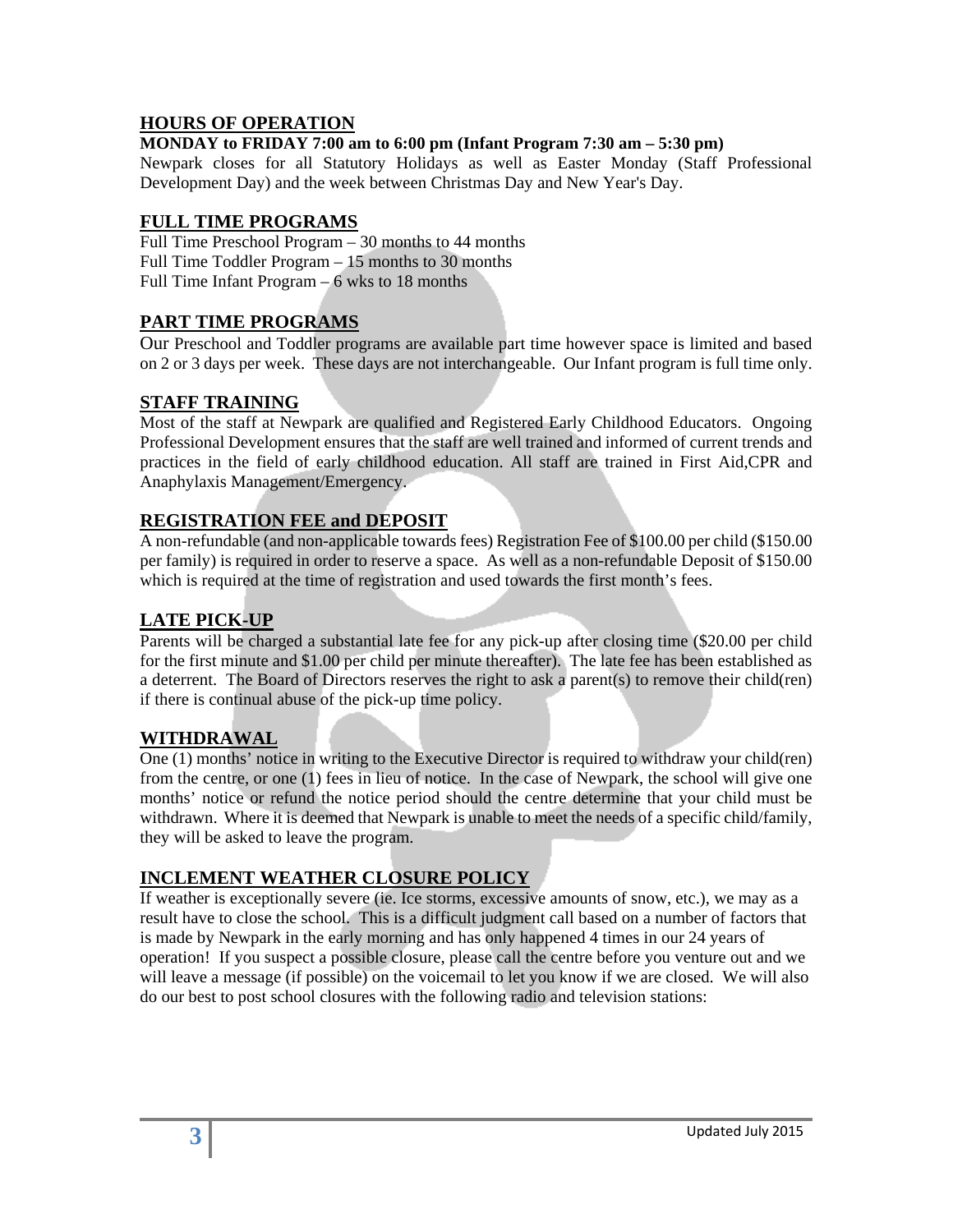## **HOURS OF OPERATION**

## **MONDAY to FRIDAY 7:00 am to 6:00 pm (Infant Program 7:30 am – 5:30 pm)**

Newpark closes for all Statutory Holidays as well as Easter Monday (Staff Professional Development Day) and the week between Christmas Day and New Year's Day.

## **FULL TIME PROGRAMS**

Full Time Preschool Program – 30 months to 44 months Full Time Toddler Program – 15 months to 30 months Full Time Infant Program – 6 wks to 18 months

## **PART TIME PROGRAMS**

Our Preschool and Toddler programs are available part time however space is limited and based on 2 or 3 days per week. These days are not interchangeable. Our Infant program is full time only.

## **STAFF TRAINING**

Most of the staff at Newpark are qualified and Registered Early Childhood Educators. Ongoing Professional Development ensures that the staff are well trained and informed of current trends and practices in the field of early childhood education. All staff are trained in First Aid,CPR and Anaphylaxis Management/Emergency.

## **REGISTRATION FEE and DEPOSIT**

A non-refundable (and non-applicable towards fees) Registration Fee of \$100.00 per child (\$150.00 per family) is required in order to reserve a space. As well as a non-refundable Deposit of \$150.00 which is required at the time of registration and used towards the first month's fees.

## **LATE PICK-UP**

Parents will be charged a substantial late fee for any pick-up after closing time (\$20.00 per child for the first minute and \$1.00 per child per minute thereafter). The late fee has been established as a deterrent. The Board of Directors reserves the right to ask a parent(s) to remove their child(ren) if there is continual abuse of the pick-up time policy.

## **WITHDRAWAL**

One (1) months' notice in writing to the Executive Director is required to withdraw your child(ren) from the centre, or one (1) fees in lieu of notice. In the case of Newpark, the school will give one months' notice or refund the notice period should the centre determine that your child must be withdrawn. Where it is deemed that Newpark is unable to meet the needs of a specific child/family, they will be asked to leave the program.

## **INCLEMENT WEATHER CLOSURE POLICY**

If weather is exceptionally severe (ie. Ice storms, excessive amounts of snow, etc.), we may as a result have to close the school. This is a difficult judgment call based on a number of factors that is made by Newpark in the early morning and has only happened 4 times in our 24 years of operation! If you suspect a possible closure, please call the centre before you venture out and we will leave a message (if possible) on the voicemail to let you know if we are closed. We will also do our best to post school closures with the following radio and television stations: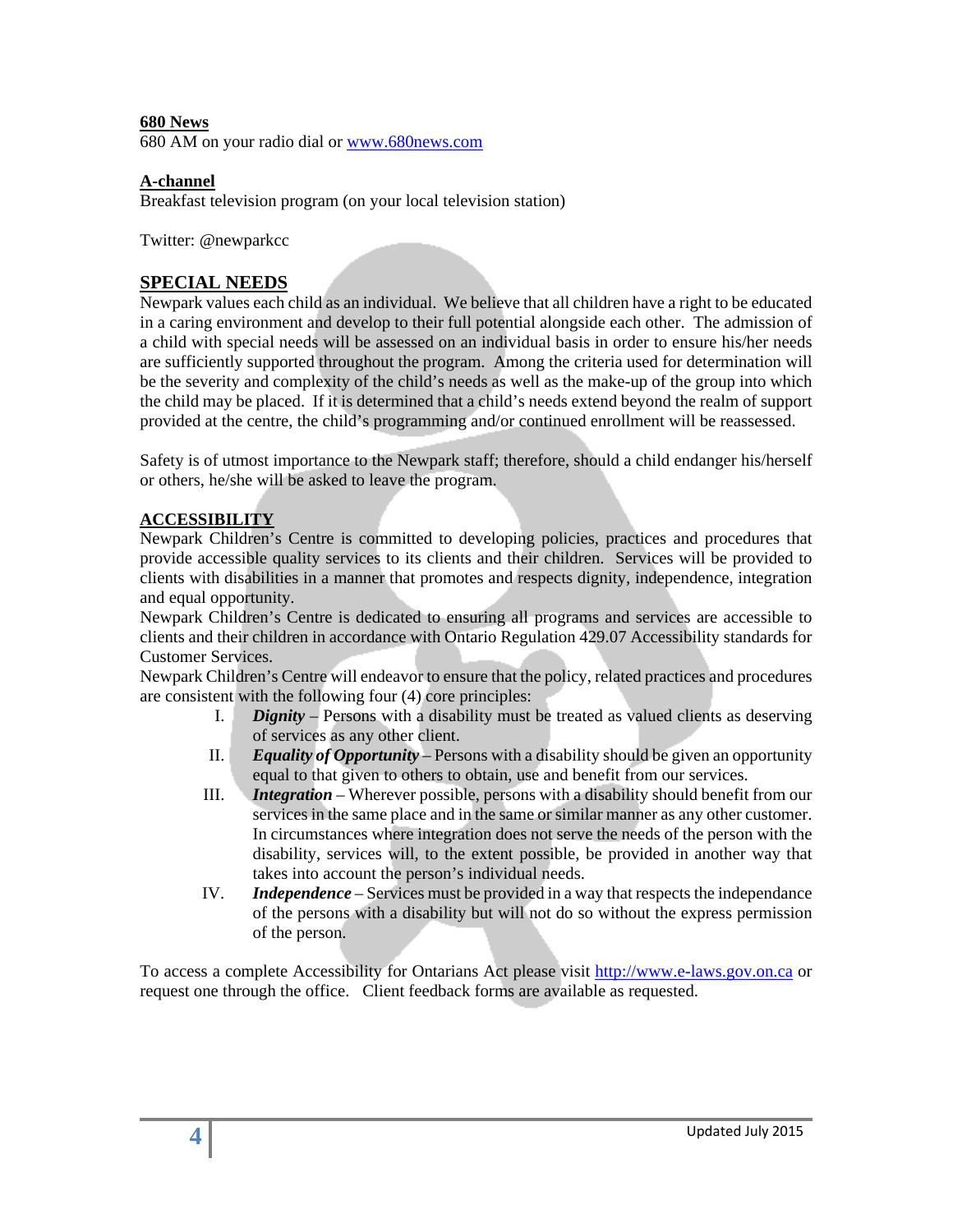#### **680 News**

680 AM on your radio dial or www.680news.com

## **A-channel**

Breakfast television program (on your local television station)

Twitter: @newparkcc

## **SPECIAL NEEDS**

Newpark values each child as an individual. We believe that all children have a right to be educated in a caring environment and develop to their full potential alongside each other. The admission of a child with special needs will be assessed on an individual basis in order to ensure his/her needs are sufficiently supported throughout the program. Among the criteria used for determination will be the severity and complexity of the child's needs as well as the make-up of the group into which the child may be placed. If it is determined that a child's needs extend beyond the realm of support provided at the centre, the child's programming and/or continued enrollment will be reassessed.

Safety is of utmost importance to the Newpark staff; therefore, should a child endanger his/herself or others, he/she will be asked to leave the program.

## **ACCESSIBILITY**

Newpark Children's Centre is committed to developing policies, practices and procedures that provide accessible quality services to its clients and their children. Services will be provided to clients with disabilities in a manner that promotes and respects dignity, independence, integration and equal opportunity.

Newpark Children's Centre is dedicated to ensuring all programs and services are accessible to clients and their children in accordance with Ontario Regulation 429.07 Accessibility standards for Customer Services.

Newpark Children's Centre will endeavor to ensure that the policy, related practices and procedures are consistent with the following four (4) core principles:

- I. *Dignity* Persons with a disability must be treated as valued clients as deserving of services as any other client.
- II. *Equality of Opportunity*  Persons with a disability should be given an opportunity equal to that given to others to obtain, use and benefit from our services.
- III. *Integration* Wherever possible, persons with a disability should benefit from our services in the same place and in the same or similar manner as any other customer. In circumstances where integration does not serve the needs of the person with the disability, services will, to the extent possible, be provided in another way that takes into account the person's individual needs.
- IV. *Independence* Services must be provided in a way that respects the independance of the persons with a disability but will not do so without the express permission of the person.

To access a complete Accessibility for Ontarians Act please visit http://www.e-laws.gov.on.ca or request one through the office. Client feedback forms are available as requested.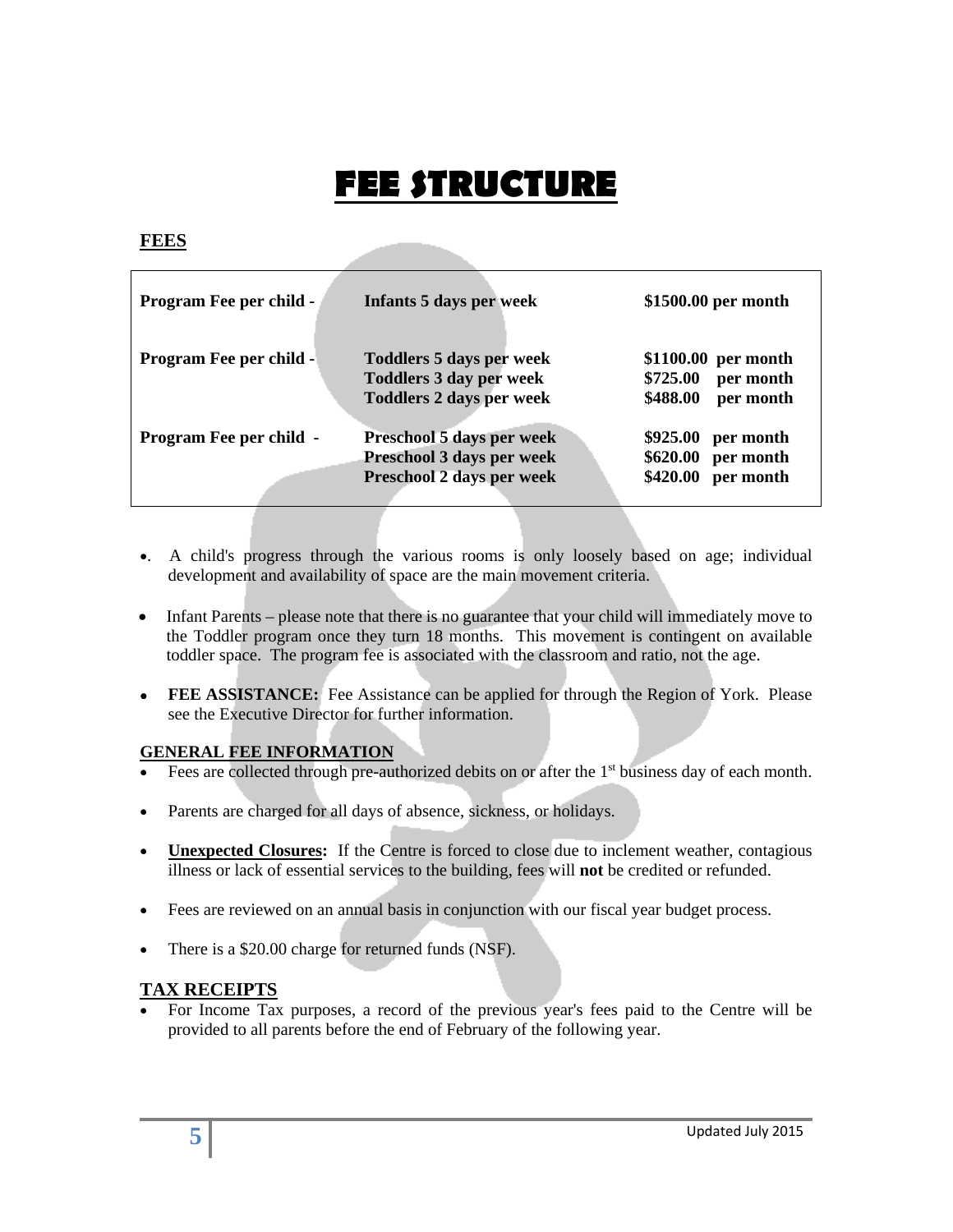## **FEE STRUCTURE**

## **FEES**

| <b>Program Fee per child -</b> | Infants 5 days per week                                                                              | \$1500.00 per month                                                     |
|--------------------------------|------------------------------------------------------------------------------------------------------|-------------------------------------------------------------------------|
| <b>Program Fee per child -</b> | <b>Toddlers 5 days per week</b><br><b>Toddlers 3 day per week</b><br><b>Toddlers 2 days per week</b> | \$1100.00 per month<br>\$725.00<br>per month<br>\$488.00<br>per month   |
| Program Fee per child -        | Preschool 5 days per week<br><b>Preschool 3 days per week</b><br>Preschool 2 days per week           | \$925.00<br>per month<br>\$620.00<br>per month<br>\$420.00<br>per month |

- . A child's progress through the various rooms is only loosely based on age; individual development and availability of space are the main movement criteria.
- Infant Parents please note that there is no guarantee that your child will immediately move to the Toddler program once they turn 18 months. This movement is contingent on available toddler space. The program fee is associated with the classroom and ratio, not the age.
- **FEE ASSISTANCE:** Fee Assistance can be applied for through the Region of York. Please see the Executive Director for further information.

## **GENERAL FEE INFORMATION**

- Fees are collected through pre-authorized debits on or after the 1<sup>st</sup> business day of each month.
- Parents are charged for all days of absence, sickness, or holidays.
- Unexpected Closures: If the Centre is forced to close due to inclement weather, contagious illness or lack of essential services to the building, fees will **not** be credited or refunded.
- Fees are reviewed on an annual basis in conjunction with our fiscal year budget process.
- There is a \$20.00 charge for returned funds (NSF).

## **TAX RECEIPTS**

 For Income Tax purposes, a record of the previous year's fees paid to the Centre will be provided to all parents before the end of February of the following year.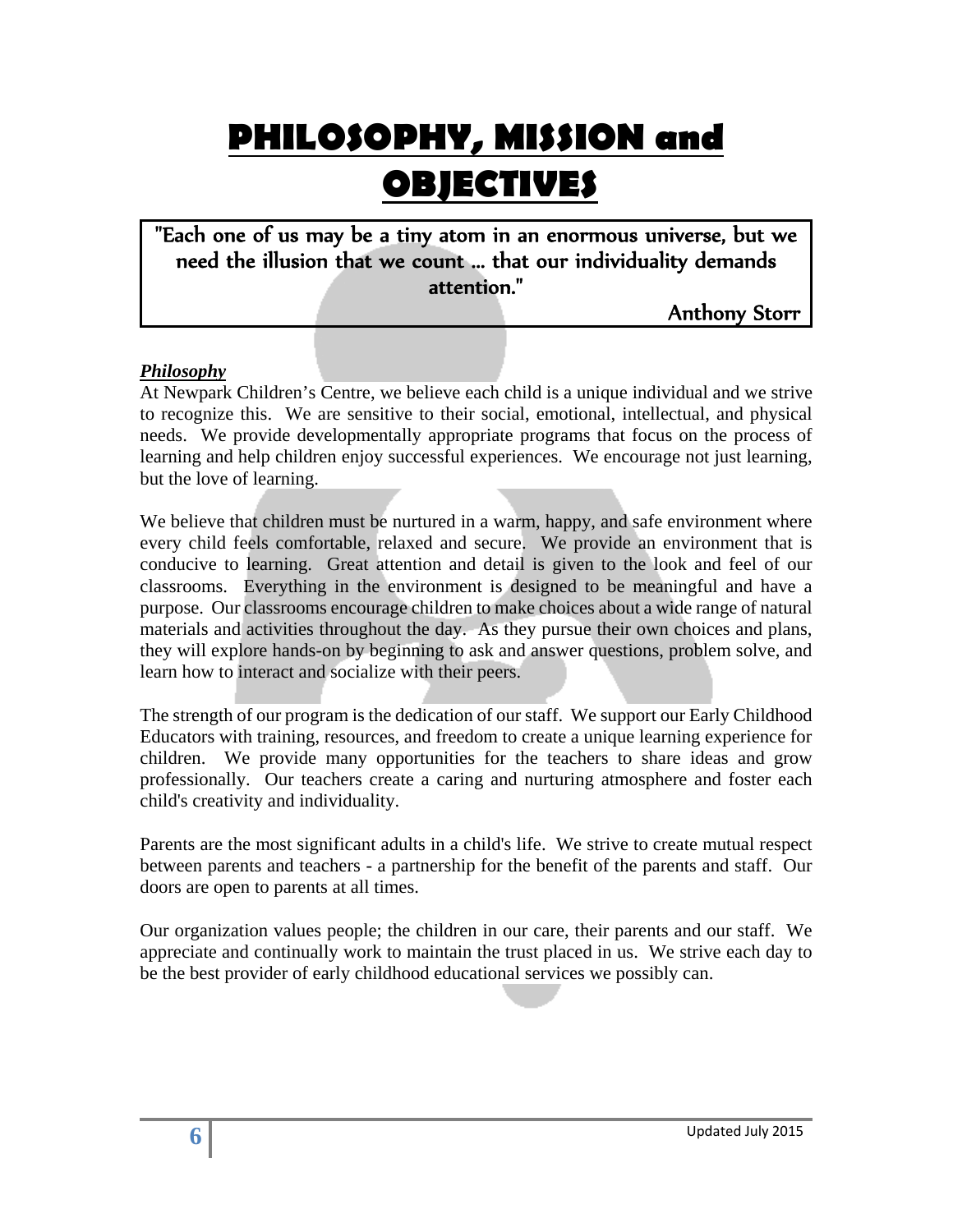## **PHILOSOPHY, MISSION and OBJECTIVES**

"Each one of us may be a tiny atom in an enormous universe, but we need the illusion that we count ... that our individuality demands attention."

Anthony Storr

## *Philosophy*

At Newpark Children's Centre, we believe each child is a unique individual and we strive to recognize this. We are sensitive to their social, emotional, intellectual, and physical needs. We provide developmentally appropriate programs that focus on the process of learning and help children enjoy successful experiences. We encourage not just learning, but the love of learning.

We believe that children must be nurtured in a warm, happy, and safe environment where every child feels comfortable, relaxed and secure. We provide an environment that is conducive to learning. Great attention and detail is given to the look and feel of our classrooms. Everything in the environment is designed to be meaningful and have a purpose. Our classrooms encourage children to make choices about a wide range of natural materials and activities throughout the day. As they pursue their own choices and plans, they will explore hands-on by beginning to ask and answer questions, problem solve, and learn how to interact and socialize with their peers.

The strength of our program is the dedication of our staff. We support our Early Childhood Educators with training, resources, and freedom to create a unique learning experience for children. We provide many opportunities for the teachers to share ideas and grow professionally. Our teachers create a caring and nurturing atmosphere and foster each child's creativity and individuality.

Parents are the most significant adults in a child's life. We strive to create mutual respect between parents and teachers - a partnership for the benefit of the parents and staff. Our doors are open to parents at all times.

Our organization values people; the children in our care, their parents and our staff. We appreciate and continually work to maintain the trust placed in us. We strive each day to be the best provider of early childhood educational services we possibly can.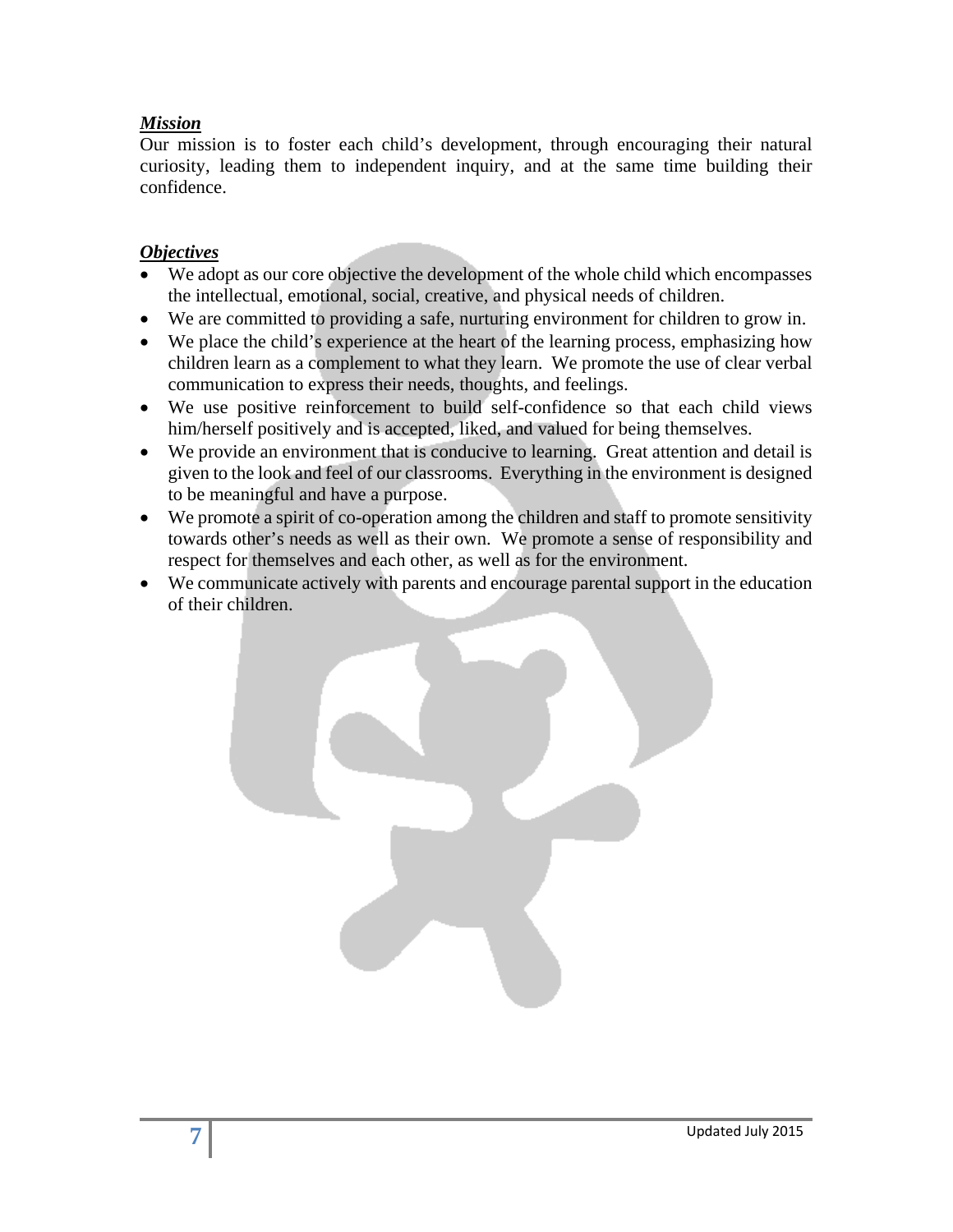## *Mission*

Our mission is to foster each child's development, through encouraging their natural curiosity, leading them to independent inquiry, and at the same time building their confidence.

## *Objectives*

- We adopt as our core objective the development of the whole child which encompasses the intellectual, emotional, social, creative, and physical needs of children.
- We are committed to providing a safe, nurturing environment for children to grow in.
- We place the child's experience at the heart of the learning process, emphasizing how children learn as a complement to what they learn. We promote the use of clear verbal communication to express their needs, thoughts, and feelings.
- We use positive reinforcement to build self-confidence so that each child views him/herself positively and is accepted, liked, and valued for being themselves.
- We provide an environment that is conducive to learning. Great attention and detail is given to the look and feel of our classrooms. Everything in the environment is designed to be meaningful and have a purpose.
- We promote a spirit of co-operation among the children and staff to promote sensitivity towards other's needs as well as their own. We promote a sense of responsibility and respect for themselves and each other, as well as for the environment.
- We communicate actively with parents and encourage parental support in the education of their children.

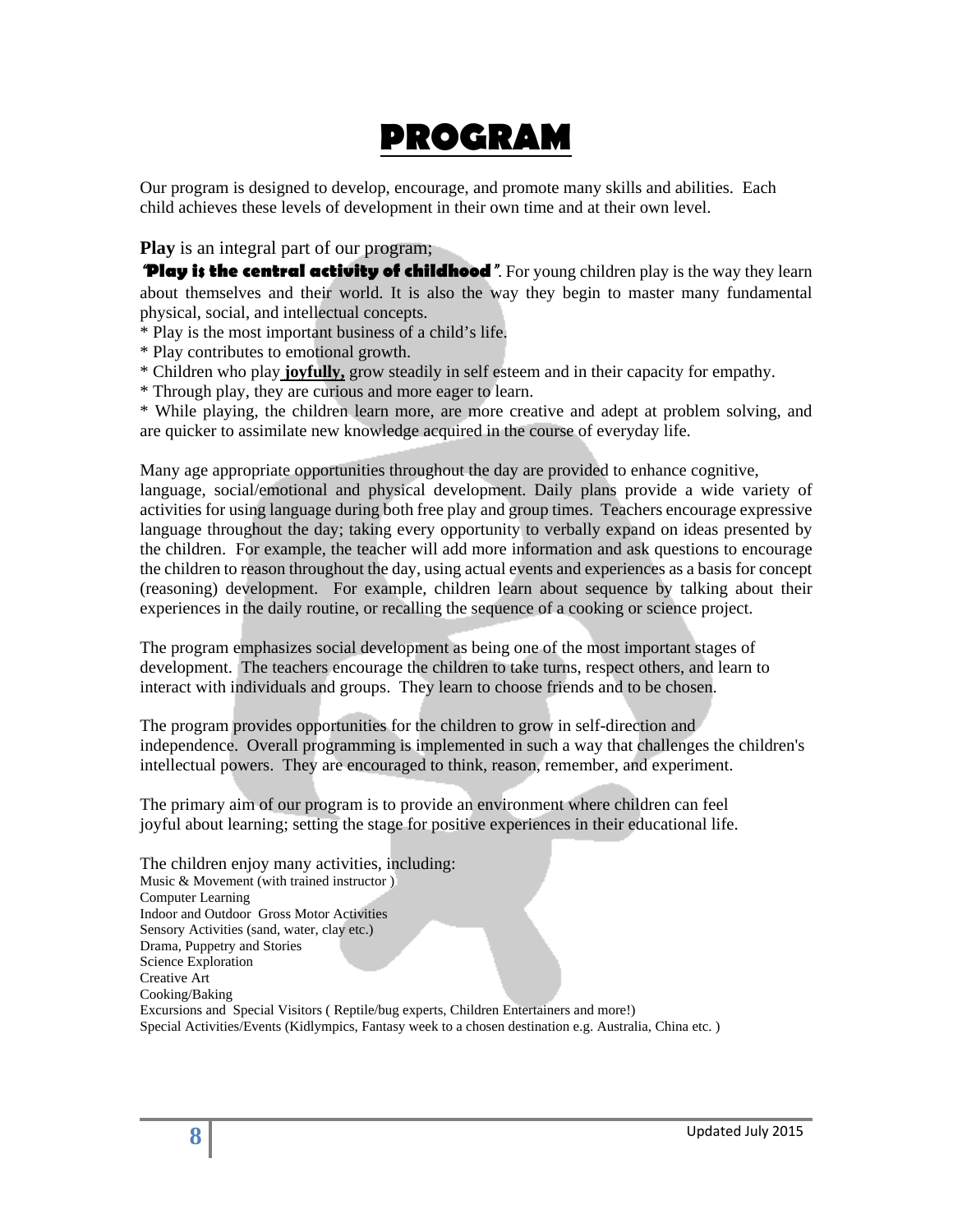## **PROGRAM**

Our program is designed to develop, encourage, and promote many skills and abilities. Each child achieves these levels of development in their own time and at their own level.

**Play** is an integral part of our program;

**"Play is the central activity of childhood**". For young children play is the way they learn about themselves and their world. It is also the way they begin to master many fundamental physical, social, and intellectual concepts.

- \* Play is the most important business of a child's life.
- \* Play contributes to emotional growth.
- \* Children who play **joyfully,** grow steadily in self esteem and in their capacity for empathy.
- \* Through play, they are curious and more eager to learn.

\* While playing, the children learn more, are more creative and adept at problem solving, and are quicker to assimilate new knowledge acquired in the course of everyday life.

Many age appropriate opportunities throughout the day are provided to enhance cognitive,

language, social/emotional and physical development. Daily plans provide a wide variety of activities for using language during both free play and group times. Teachers encourage expressive language throughout the day; taking every opportunity to verbally expand on ideas presented by the children. For example, the teacher will add more information and ask questions to encourage the children to reason throughout the day, using actual events and experiences as a basis for concept (reasoning) development. For example, children learn about sequence by talking about their experiences in the daily routine, or recalling the sequence of a cooking or science project.

The program emphasizes social development as being one of the most important stages of development. The teachers encourage the children to take turns, respect others, and learn to interact with individuals and groups. They learn to choose friends and to be chosen.

The program provides opportunities for the children to grow in self-direction and independence. Overall programming is implemented in such a way that challenges the children's intellectual powers. They are encouraged to think, reason, remember, and experiment.

The primary aim of our program is to provide an environment where children can feel joyful about learning; setting the stage for positive experiences in their educational life.

The children enjoy many activities, including: Music & Movement (with trained instructor ) Computer Learning Indoor and Outdoor Gross Motor Activities Sensory Activities (sand, water, clay etc.) Drama, Puppetry and Stories Science Exploration Creative Art Cooking/Baking Excursions and Special Visitors ( Reptile/bug experts, Children Entertainers and more!) Special Activities/Events (Kidlympics, Fantasy week to a chosen destination e.g. Australia, China etc. )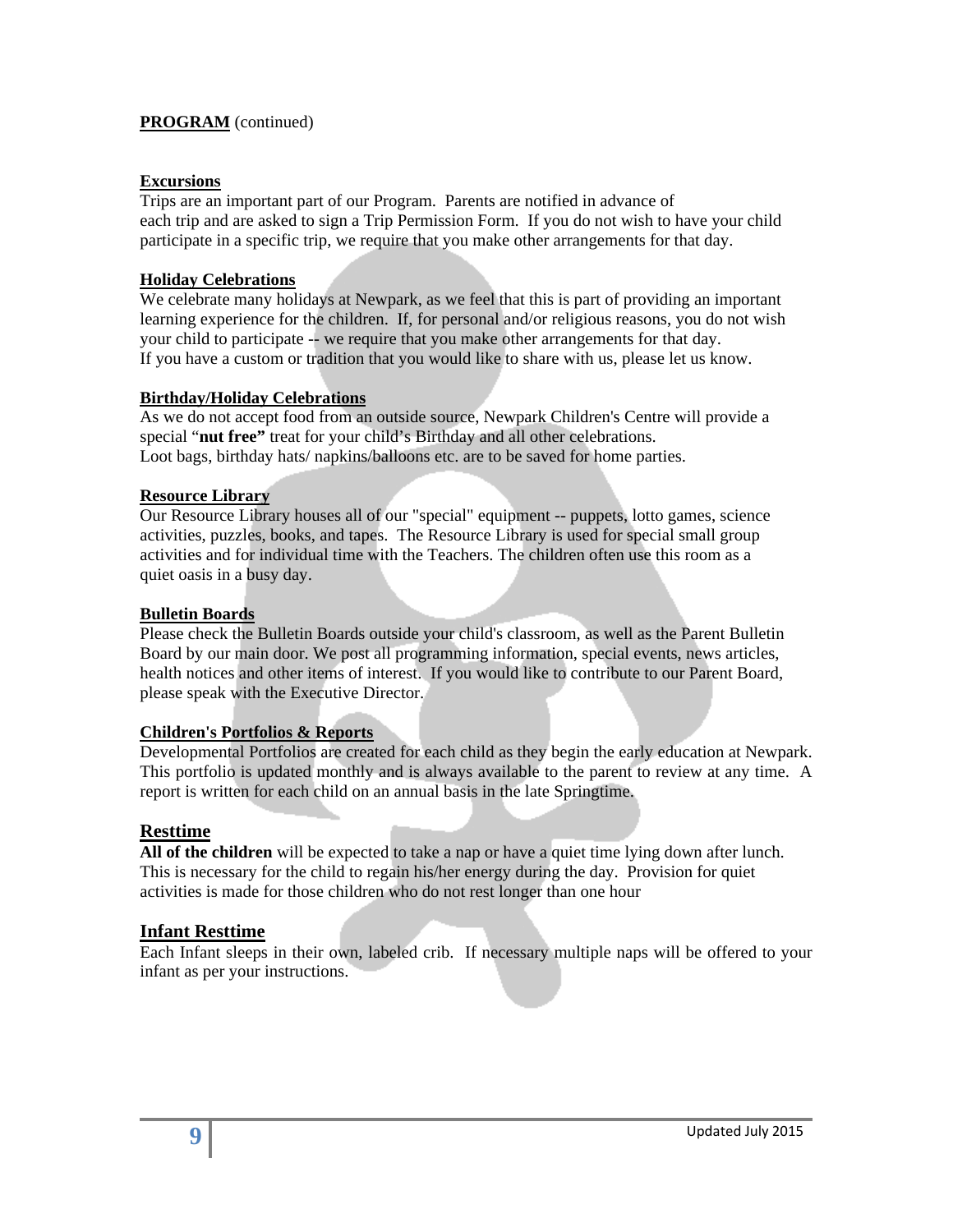## **PROGRAM** (continued)

#### **Excursions**

Trips are an important part of our Program. Parents are notified in advance of each trip and are asked to sign a Trip Permission Form. If you do not wish to have your child participate in a specific trip, we require that you make other arrangements for that day.

#### **Holiday Celebrations**

We celebrate many holidays at Newpark, as we feel that this is part of providing an important learning experience for the children. If, for personal and/or religious reasons, you do not wish your child to participate -- we require that you make other arrangements for that day. If you have a custom or tradition that you would like to share with us, please let us know.

#### **Birthday/Holiday Celebrations**

As we do not accept food from an outside source, Newpark Children's Centre will provide a special "**nut free"** treat for your child's Birthday and all other celebrations. Loot bags, birthday hats/ napkins/balloons etc. are to be saved for home parties.

## **Resource Library**

Our Resource Library houses all of our "special" equipment -- puppets, lotto games, science activities, puzzles, books, and tapes. The Resource Library is used for special small group activities and for individual time with the Teachers. The children often use this room as a quiet oasis in a busy day.

#### **Bulletin Boards**

Please check the Bulletin Boards outside your child's classroom, as well as the Parent Bulletin Board by our main door. We post all programming information, special events, news articles, health notices and other items of interest. If you would like to contribute to our Parent Board, please speak with the Executive Director.

#### **Children's Portfolios & Reports**

Developmental Portfolios are created for each child as they begin the early education at Newpark. This portfolio is updated monthly and is always available to the parent to review at any time. A report is written for each child on an annual basis in the late Springtime.

## **Resttime**

**All of the children** will be expected to take a nap or have a quiet time lying down after lunch. This is necessary for the child to regain his/her energy during the day. Provision for quiet activities is made for those children who do not rest longer than one hour

## **Infant Resttime**

Each Infant sleeps in their own, labeled crib. If necessary multiple naps will be offered to your infant as per your instructions.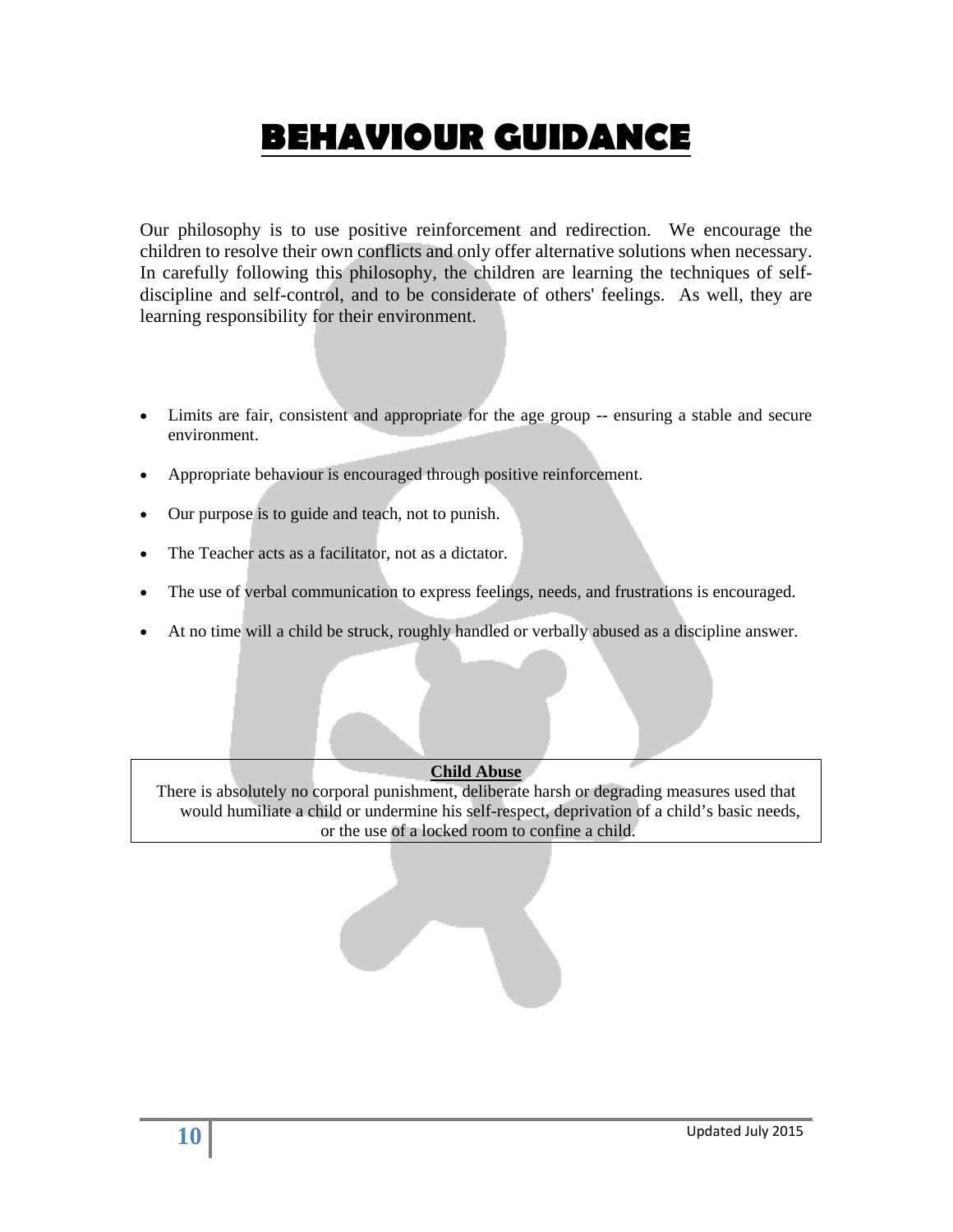## **BEHAVIOUR GUIDANCE**

Our philosophy is to use positive reinforcement and redirection. We encourage the children to resolve their own conflicts and only offer alternative solutions when necessary. In carefully following this philosophy, the children are learning the techniques of selfdiscipline and self-control, and to be considerate of others' feelings. As well, they are learning responsibility for their environment.

- Limits are fair, consistent and appropriate for the age group -- ensuring a stable and secure environment.
- Appropriate behaviour is encouraged through positive reinforcement.
- Our purpose is to guide and teach, not to punish.
- The Teacher acts as a facilitator, not as a dictator.
- The use of verbal communication to express feelings, needs, and frustrations is encouraged.
- At no time will a child be struck, roughly handled or verbally abused as a discipline answer.

#### **Child Abuse**

There is absolutely no corporal punishment, deliberate harsh or degrading measures used that would humiliate a child or undermine his self-respect, deprivation of a child's basic needs, or the use of a locked room to confine a child.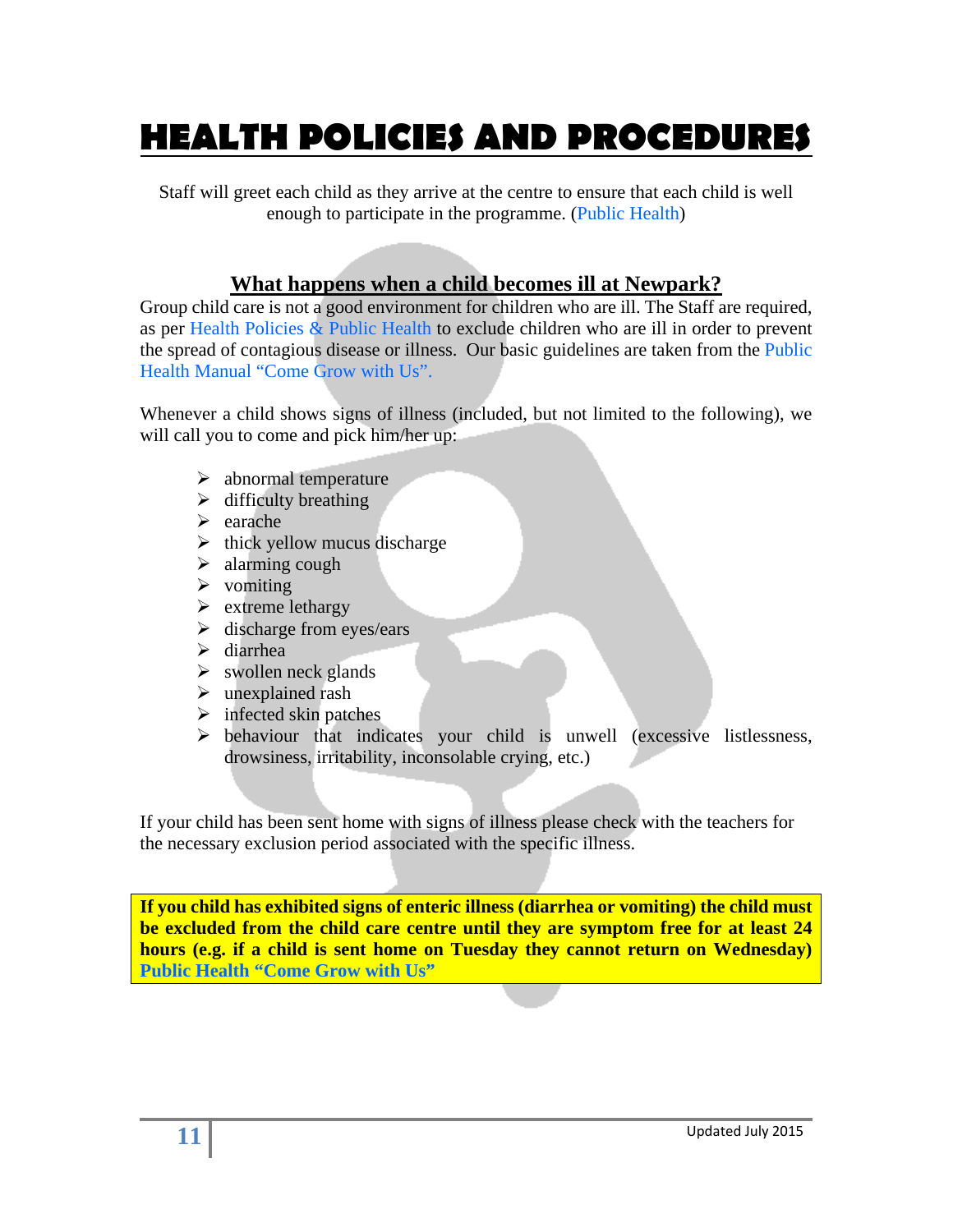## **HEALTH POLICIES AND PROCEDURES**

Staff will greet each child as they arrive at the centre to ensure that each child is well enough to participate in the programme. (Public Health)

## **What happens when a child becomes ill at Newpark?**

Group child care is not a good environment for children who are ill. The Staff are required, as per Health Policies & Public Health to exclude children who are ill in order to prevent the spread of contagious disease or illness. Our basic guidelines are taken from the Public Health Manual "Come Grow with Us".

Whenever a child shows signs of illness (included, but not limited to the following), we will call you to come and pick him/her up:

- $\triangleright$  abnormal temperature
- $\triangleright$  difficulty breathing
- $\triangleright$  earache
- $\triangleright$  thick yellow mucus discharge
- $\blacktriangleright$  alarming cough
- $\triangleright$  vomiting
- $\triangleright$  extreme lethargy
- $\triangleright$  discharge from eyes/ears
- diarrhea
- $\triangleright$  swollen neck glands
- $\triangleright$  unexplained rash
- $\triangleright$  infected skin patches
- $\triangleright$  behaviour that indicates your child is unwell (excessive listlessness, drowsiness, irritability, inconsolable crying, etc.)

If your child has been sent home with signs of illness please check with the teachers for the necessary exclusion period associated with the specific illness.

**If you child has exhibited signs of enteric illness (diarrhea or vomiting) the child must be excluded from the child care centre until they are symptom free for at least 24 hours (e.g. if a child is sent home on Tuesday they cannot return on Wednesday) Public Health "Come Grow with Us"**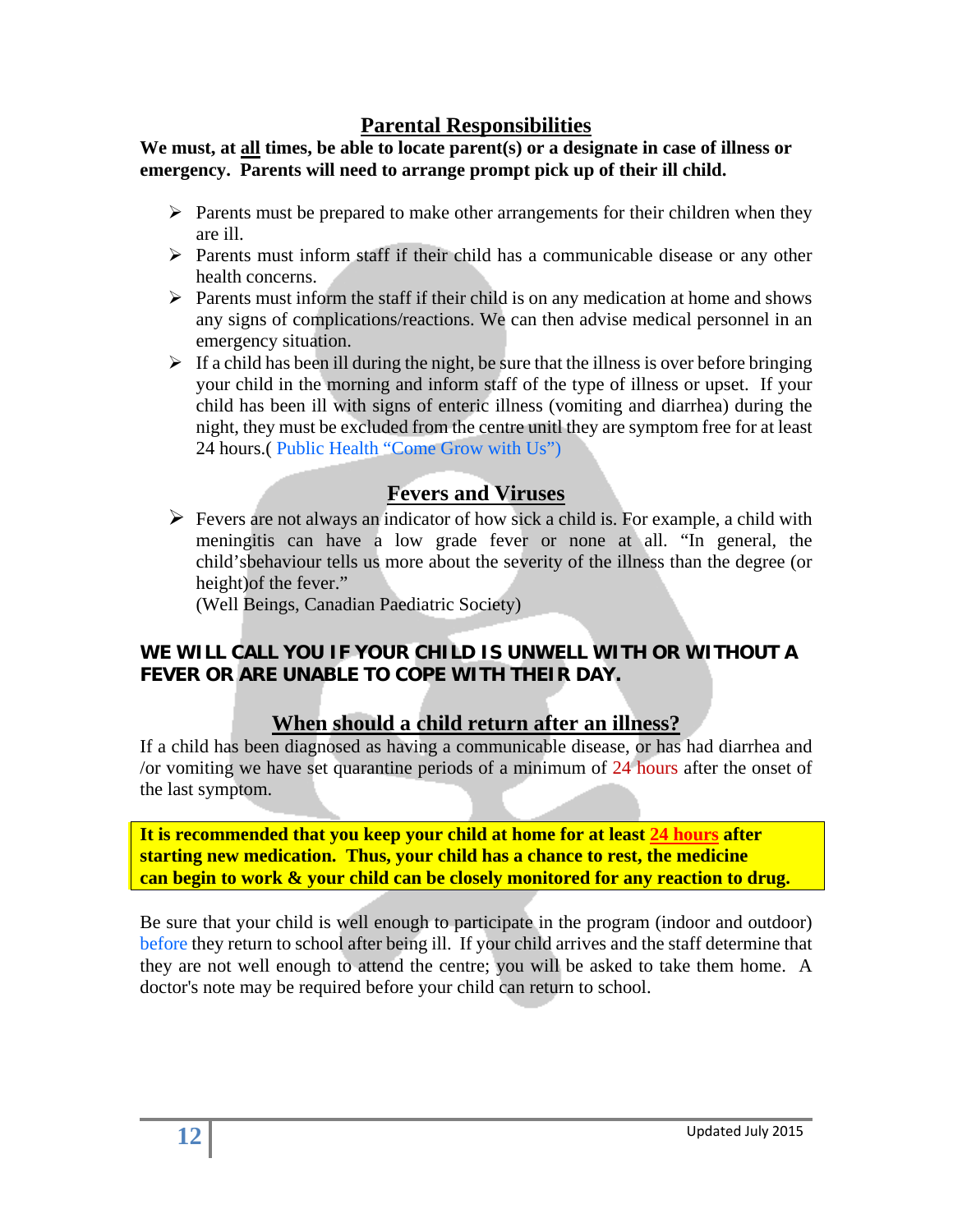## **Parental Responsibilities**

**We must, at all times, be able to locate parent(s) or a designate in case of illness or emergency. Parents will need to arrange prompt pick up of their ill child.** 

- $\triangleright$  Parents must be prepared to make other arrangements for their children when they are ill.
- $\triangleright$  Parents must inform staff if their child has a communicable disease or any other health concerns.
- $\triangleright$  Parents must inform the staff if their child is on any medication at home and shows any signs of complications/reactions. We can then advise medical personnel in an emergency situation.
- $\triangleright$  If a child has been ill during the night, be sure that the illness is over before bringing your child in the morning and inform staff of the type of illness or upset. If your child has been ill with signs of enteric illness (vomiting and diarrhea) during the night, they must be excluded from the centre unitl they are symptom free for at least 24 hours.( Public Health "Come Grow with Us")

## **Fevers and Viruses**

 $\triangleright$  Fevers are not always an indicator of how sick a child is. For example, a child with meningitis can have a low grade fever or none at all. "In general, the child'sbehaviour tells us more about the severity of the illness than the degree (or height)of the fever."

(Well Beings, Canadian Paediatric Society)

## **WE WILL CALL YOU IF YOUR CHILD IS UNWELL WITH OR WITHOUT A FEVER OR ARE UNABLE TO COPE WITH THEIR DAY.**

## **When should a child return after an illness?**

If a child has been diagnosed as having a communicable disease, or has had diarrhea and /or vomiting we have set quarantine periods of a minimum of 24 hours after the onset of the last symptom.

**It is recommended that you keep your child at home for at least 24 hours after starting new medication. Thus, your child has a chance to rest, the medicine can begin to work & your child can be closely monitored for any reaction to drug.** 

Be sure that your child is well enough to participate in the program (indoor and outdoor) before they return to school after being ill. If your child arrives and the staff determine that they are not well enough to attend the centre; you will be asked to take them home. A doctor's note may be required before your child can return to school.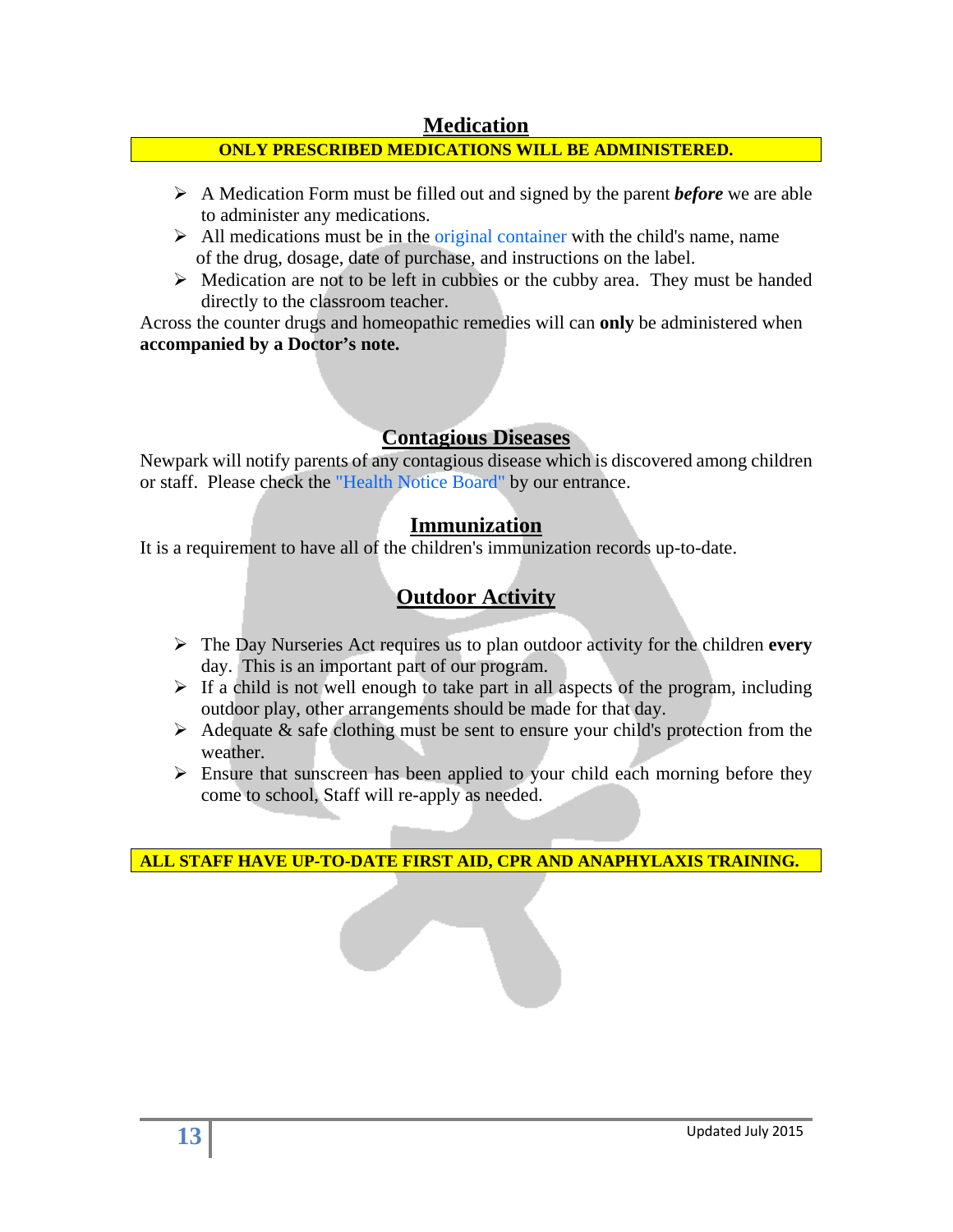## **Medication**

## **ONLY PRESCRIBED MEDICATIONS WILL BE ADMINISTERED.**

- A Medication Form must be filled out and signed by the parent *before* we are able to administer any medications.
- $\triangleright$  All medications must be in the original container with the child's name, name of the drug, dosage, date of purchase, and instructions on the label.
- $\triangleright$  Medication are not to be left in cubbies or the cubby area. They must be handed directly to the classroom teacher.

Across the counter drugs and homeopathic remedies will can **only** be administered when **accompanied by a Doctor's note.** 

## **Contagious Diseases**

Newpark will notify parents of any contagious disease which is discovered among children or staff. Please check the "Health Notice Board" by our entrance.

## **Immunization**

It is a requirement to have all of the children's immunization records up-to-date.

## **Outdoor Activity**

- The Day Nurseries Act requires us to plan outdoor activity for the children **every** day. This is an important part of our program.
- $\triangleright$  If a child is not well enough to take part in all aspects of the program, including outdoor play, other arrangements should be made for that day.
- Adequate & safe clothing must be sent to ensure your child's protection from the weather.
- $\triangleright$  Ensure that sunscreen has been applied to your child each morning before they come to school, Staff will re-apply as needed.

**ALL STAFF HAVE UP-TO-DATE FIRST AID, CPR AND ANAPHYLAXIS TRAINING.**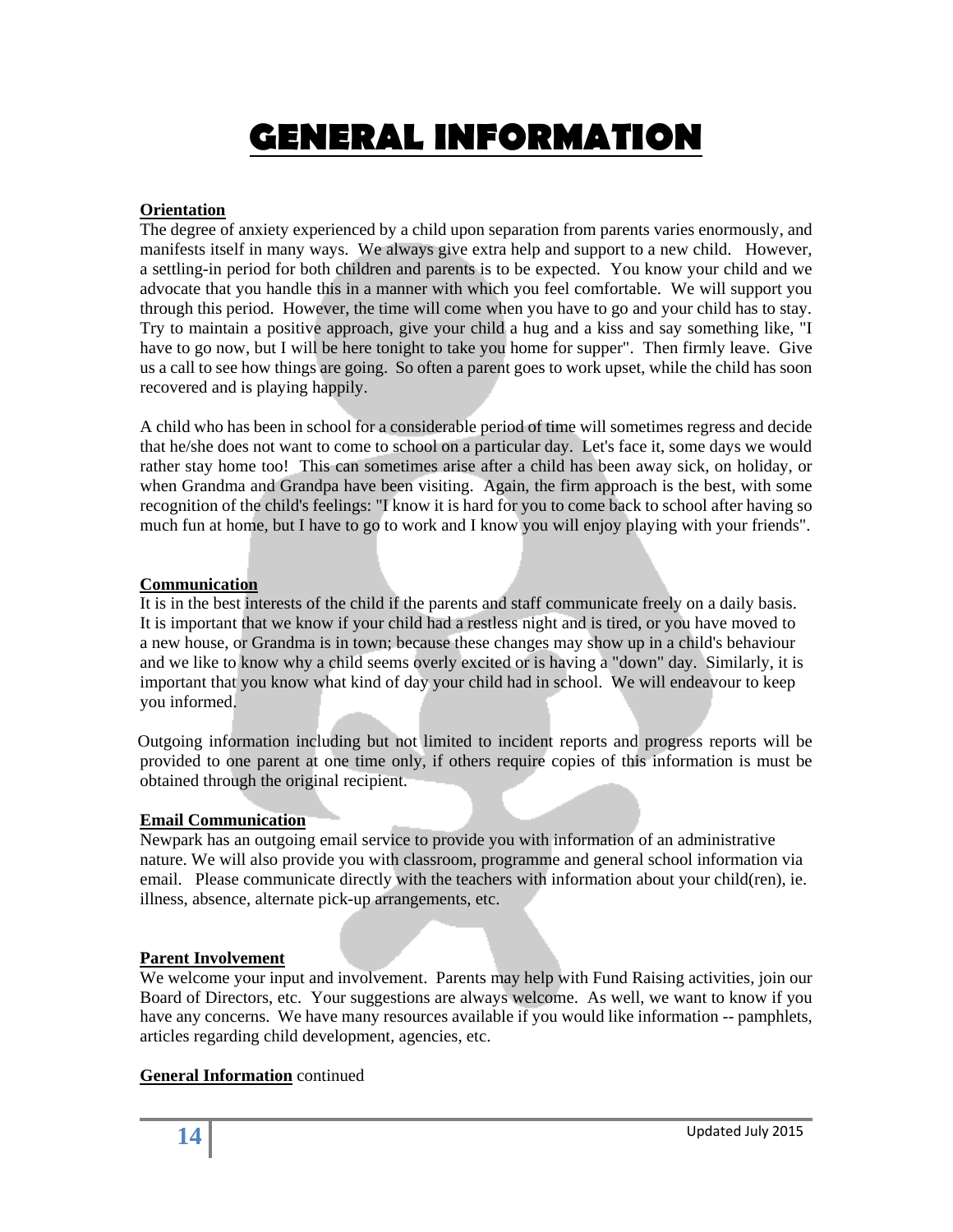## **GENERAL INFORMATION**

## **Orientation**

The degree of anxiety experienced by a child upon separation from parents varies enormously, and manifests itself in many ways. We always give extra help and support to a new child. However, a settling-in period for both children and parents is to be expected. You know your child and we advocate that you handle this in a manner with which you feel comfortable. We will support you through this period. However, the time will come when you have to go and your child has to stay. Try to maintain a positive approach, give your child a hug and a kiss and say something like, "I have to go now, but I will be here tonight to take you home for supper". Then firmly leave. Give us a call to see how things are going. So often a parent goes to work upset, while the child has soon recovered and is playing happily.

A child who has been in school for a considerable period of time will sometimes regress and decide that he/she does not want to come to school on a particular day. Let's face it, some days we would rather stay home too! This can sometimes arise after a child has been away sick, on holiday, or when Grandma and Grandpa have been visiting. Again, the firm approach is the best, with some recognition of the child's feelings: "I know it is hard for you to come back to school after having so much fun at home, but I have to go to work and I know you will enjoy playing with your friends".

## **Communication**

It is in the best interests of the child if the parents and staff communicate freely on a daily basis. It is important that we know if your child had a restless night and is tired, or you have moved to a new house, or Grandma is in town; because these changes may show up in a child's behaviour and we like to know why a child seems overly excited or is having a "down" day. Similarly, it is important that you know what kind of day your child had in school. We will endeavour to keep you informed.

 Outgoing information including but not limited to incident reports and progress reports will be provided to one parent at one time only, if others require copies of this information is must be obtained through the original recipient.

## **Email Communication**

Newpark has an outgoing email service to provide you with information of an administrative nature. We will also provide you with classroom, programme and general school information via email. Please communicate directly with the teachers with information about your child(ren), ie. illness, absence, alternate pick-up arrangements, etc.

## **Parent Involvement**

We welcome your input and involvement. Parents may help with Fund Raising activities, join our Board of Directors, etc. Your suggestions are always welcome. As well, we want to know if you have any concerns. We have many resources available if you would like information -- pamphlets, articles regarding child development, agencies, etc.

#### **General Information** continued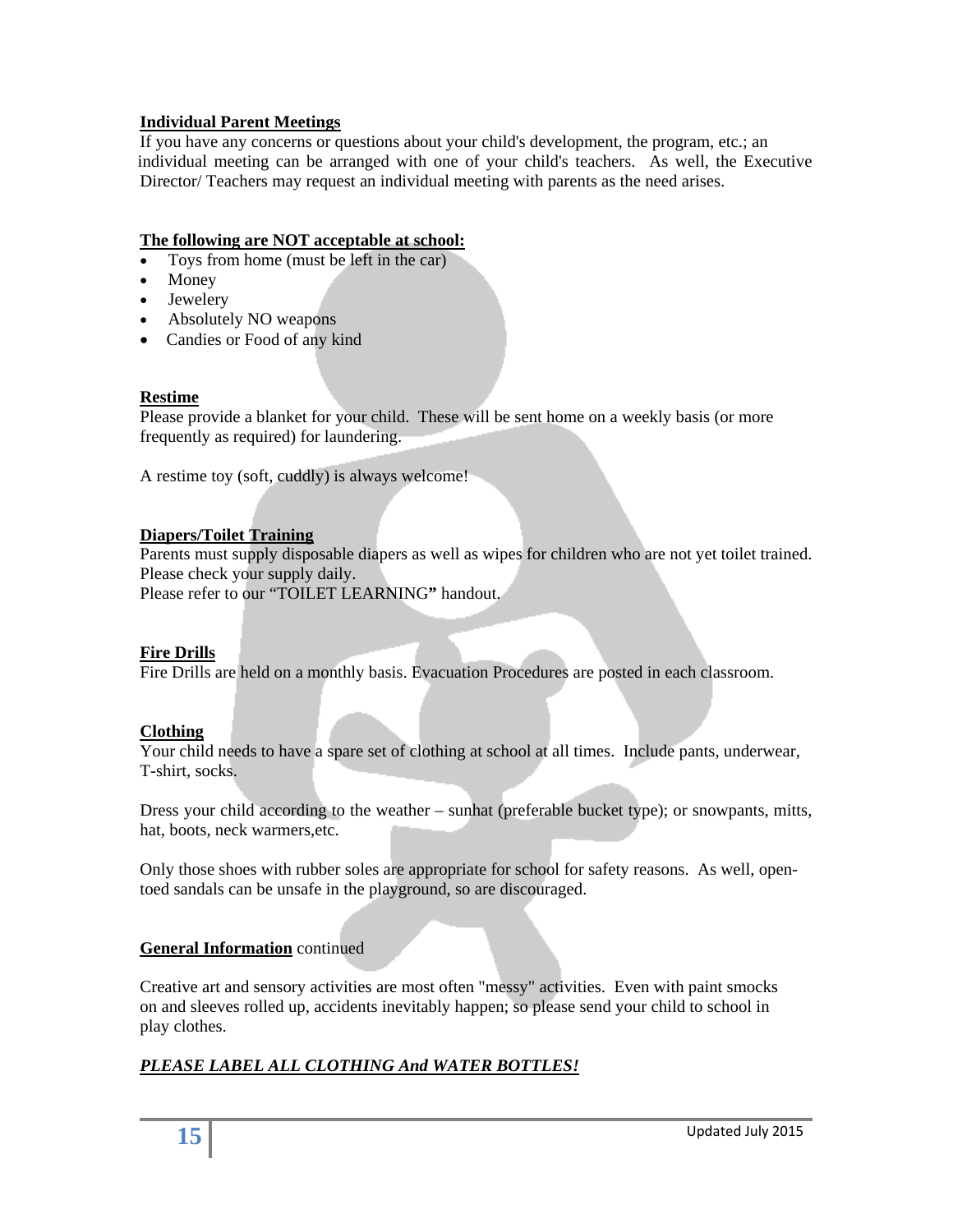## **Individual Parent Meetings**

If you have any concerns or questions about your child's development, the program, etc.; an individual meeting can be arranged with one of your child's teachers. As well, the Executive Director/ Teachers may request an individual meeting with parents as the need arises.

## **The following are NOT acceptable at school:**

- Toys from home (must be left in the car)
- Money
- Jewelery
- Absolutely NO weapons
- Candies or Food of any kind

## **Restime**

Please provide a blanket for your child. These will be sent home on a weekly basis (or more frequently as required) for laundering.

A restime toy (soft, cuddly) is always welcome!

## **Diapers/Toilet Training**

Parents must supply disposable diapers as well as wipes for children who are not yet toilet trained. Please check your supply daily. Please refer to our "TOILET LEARNING**"** handout.

## **Fire Drills**

Fire Drills are held on a monthly basis. Evacuation Procedures are posted in each classroom.

## **Clothing**

Your child needs to have a spare set of clothing at school at all times. Include pants, underwear, T-shirt, socks.

Dress your child according to the weather – sunhat (preferable bucket type); or snowpants, mitts, hat, boots, neck warmers,etc.

Only those shoes with rubber soles are appropriate for school for safety reasons. As well, opentoed sandals can be unsafe in the playground, so are discouraged.

## **General Information** continued

Creative art and sensory activities are most often "messy" activities. Even with paint smocks on and sleeves rolled up, accidents inevitably happen; so please send your child to school in play clothes.

## *PLEASE LABEL ALL CLOTHING And WATER BOTTLES!*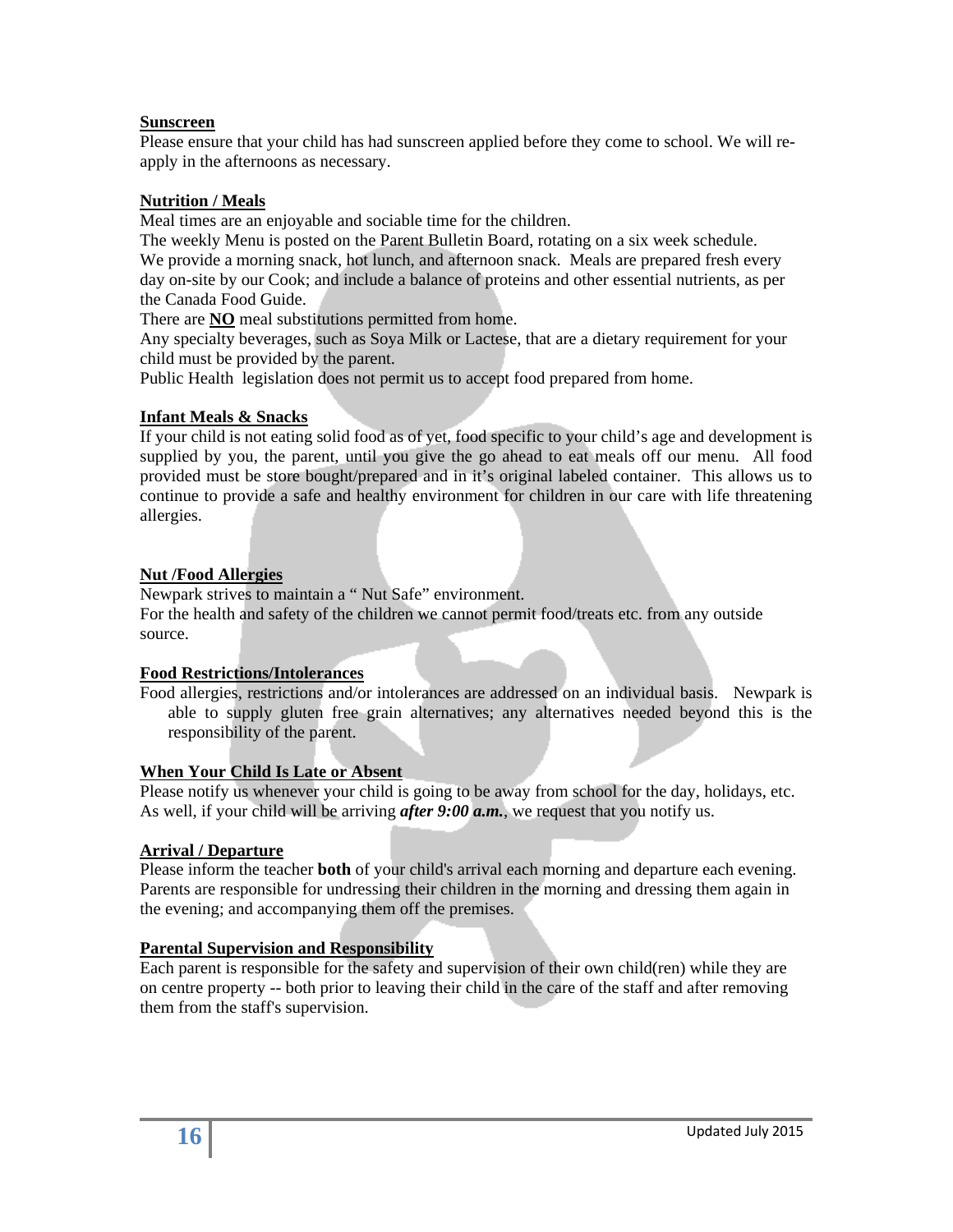## **Sunscreen**

Please ensure that your child has had sunscreen applied before they come to school. We will reapply in the afternoons as necessary.

## **Nutrition / Meals**

Meal times are an enjoyable and sociable time for the children.

The weekly Menu is posted on the Parent Bulletin Board, rotating on a six week schedule. We provide a morning snack, hot lunch, and afternoon snack. Meals are prepared fresh every day on-site by our Cook; and include a balance of proteins and other essential nutrients, as per the Canada Food Guide.

There are **NO** meal substitutions permitted from home.

Any specialty beverages, such as Soya Milk or Lactese, that are a dietary requirement for your child must be provided by the parent.

Public Health legislation does not permit us to accept food prepared from home.

## **Infant Meals & Snacks**

If your child is not eating solid food as of yet, food specific to your child's age and development is supplied by you, the parent, until you give the go ahead to eat meals off our menu. All food provided must be store bought/prepared and in it's original labeled container. This allows us to continue to provide a safe and healthy environment for children in our care with life threatening allergies.

#### **Nut /Food Allergies**

Newpark strives to maintain a " Nut Safe" environment. For the health and safety of the children we cannot permit food/treats etc. from any outside source.

## **Food Restrictions/Intolerances**

Food allergies, restrictions and/or intolerances are addressed on an individual basis. Newpark is able to supply gluten free grain alternatives; any alternatives needed beyond this is the responsibility of the parent.

## **When Your Child Is Late or Absent**

Please notify us whenever your child is going to be away from school for the day, holidays, etc. As well, if your child will be arriving *after 9:00 a.m.*, we request that you notify us.

## **Arrival / Departure**

Please inform the teacher **both** of your child's arrival each morning and departure each evening. Parents are responsible for undressing their children in the morning and dressing them again in the evening; and accompanying them off the premises.

## **Parental Supervision and Responsibility**

Each parent is responsible for the safety and supervision of their own child(ren) while they are on centre property -- both prior to leaving their child in the care of the staff and after removing them from the staff's supervision.